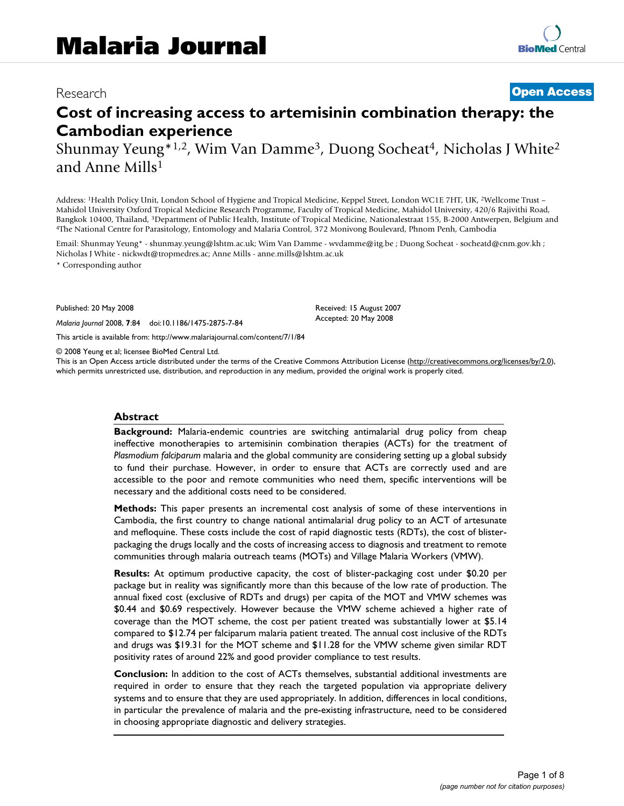# Research **[Open Access](http://www.biomedcentral.com/info/about/charter/)**

# **Cost of increasing access to artemisinin combination therapy: the Cambodian experience**

Shunmay Yeung\*1,2, Wim Van Damme3, Duong Socheat4, Nicholas J White2 and Anne Mills1

Address: 1Health Policy Unit, London School of Hygiene and Tropical Medicine, Keppel Street, London WC1E 7HT, UK, 2Wellcome Trust – Mahidol University Oxford Tropical Medicine Research Programme, Faculty of Tropical Medicine, Mahidol University, 420/6 Rajivithi Road, Bangkok 10400, Thailand, <sup>3</sup>Department of Public Health, Institute of Tropical Medicine, Nationalestraat 155, B-2000 Antwerpen, Belgium and 4The National Centre for Parasitology, Entomology and Malaria Control, 372 Monivon

Email: Shunmay Yeung\* - shunmay.yeung@lshtm.ac.uk; Wim Van Damme - wvdamme@itg.be ; Duong Socheat - socheatd@cnm.gov.kh ; Nicholas J White - nickwdt@tropmedres.ac; Anne Mills - anne.mills@lshtm.ac.uk

\* Corresponding author

Published: 20 May 2008

*Malaria Journal* 2008, **7**:84 doi:10.1186/1475-2875-7-84

[This article is available from: http://www.malariajournal.com/content/7/1/84](http://www.malariajournal.com/content/7/1/84)

© 2008 Yeung et al; licensee BioMed Central Ltd.

This is an Open Access article distributed under the terms of the Creative Commons Attribution License [\(http://creativecommons.org/licenses/by/2.0\)](http://creativecommons.org/licenses/by/2.0), which permits unrestricted use, distribution, and reproduction in any medium, provided the original work is properly cited.

Received: 15 August 2007 Accepted: 20 May 2008

## **Abstract**

**Background:** Malaria-endemic countries are switching antimalarial drug policy from cheap ineffective monotherapies to artemisinin combination therapies (ACTs) for the treatment of *Plasmodium falciparum* malaria and the global community are considering setting up a global subsidy to fund their purchase. However, in order to ensure that ACTs are correctly used and are accessible to the poor and remote communities who need them, specific interventions will be necessary and the additional costs need to be considered.

**Methods:** This paper presents an incremental cost analysis of some of these interventions in Cambodia, the first country to change national antimalarial drug policy to an ACT of artesunate and mefloquine. These costs include the cost of rapid diagnostic tests (RDTs), the cost of blisterpackaging the drugs locally and the costs of increasing access to diagnosis and treatment to remote communities through malaria outreach teams (MOTs) and Village Malaria Workers (VMW).

**Results:** At optimum productive capacity, the cost of blister-packaging cost under \$0.20 per package but in reality was significantly more than this because of the low rate of production. The annual fixed cost (exclusive of RDTs and drugs) per capita of the MOT and VMW schemes was \$0.44 and \$0.69 respectively. However because the VMW scheme achieved a higher rate of coverage than the MOT scheme, the cost per patient treated was substantially lower at \$5.14 compared to \$12.74 per falciparum malaria patient treated. The annual cost inclusive of the RDTs and drugs was \$19.31 for the MOT scheme and \$11.28 for the VMW scheme given similar RDT positivity rates of around 22% and good provider compliance to test results.

**Conclusion:** In addition to the cost of ACTs themselves, substantial additional investments are required in order to ensure that they reach the targeted population via appropriate delivery systems and to ensure that they are used appropriately. In addition, differences in local conditions, in particular the prevalence of malaria and the pre-existing infrastructure, need to be considered in choosing appropriate diagnostic and delivery strategies.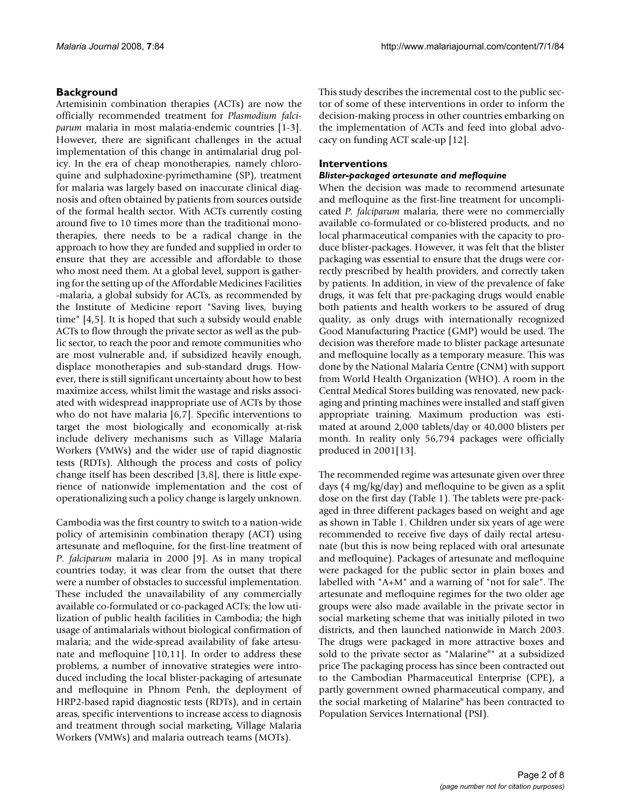# **Background**

Artemisinin combination therapies (ACTs) are now the officially recommended treatment for *Plasmodium falciparum* malaria in most malaria-endemic countries [1-3]. However, there are significant challenges in the actual implementation of this change in antimalarial drug policy. In the era of cheap monotherapies, namely chloroquine and sulphadoxine-pyrimethamine (SP), treatment for malaria was largely based on inaccurate clinical diagnosis and often obtained by patients from sources outside of the formal health sector. With ACTs currently costing around five to 10 times more than the traditional monotherapies, there needs to be a radical change in the approach to how they are funded and supplied in order to ensure that they are accessible and affordable to those who most need them. At a global level, support is gathering for the setting up of the Affordable Medicines Facilities -malaria, a global subsidy for ACTs, as recommended by the Institute of Medicine report "Saving lives, buying time" [4,5]. It is hoped that such a subsidy would enable ACTs to flow through the private sector as well as the public sector, to reach the poor and remote communities who are most vulnerable and, if subsidized heavily enough, displace monotherapies and sub-standard drugs. However, there is still significant uncertainty about how to best maximize access, whilst limit the wastage and risks associated with widespread inappropriate use of ACTs by those who do not have malaria [6,7]. Specific interventions to target the most biologically and economically at-risk include delivery mechanisms such as Village Malaria Workers (VMWs) and the wider use of rapid diagnostic tests (RDTs). Although the process and costs of policy change itself has been described [3,8], there is little experience of nationwide implementation and the cost of operationalizing such a policy change is largely unknown.

Cambodia was the first country to switch to a nation-wide policy of artemisinin combination therapy (ACT) using artesunate and mefloquine, for the first-line treatment of *P. falciparum* malaria in 2000 [9]. As in many tropical countries today, it was clear from the outset that there were a number of obstacles to successful implementation. These included the unavailability of any commercially available co-formulated or co-packaged ACTs; the low utilization of public health facilities in Cambodia; the high usage of antimalarials without biological confirmation of malaria; and the wide-spread availability of fake artesunate and mefloquine [10,11]. In order to address these problems, a number of innovative strategies were introduced including the local blister-packaging of artesunate and mefloquine in Phnom Penh, the deployment of HRP2-based rapid diagnostic tests (RDTs), and in certain areas, specific interventions to increase access to diagnosis and treatment through social marketing, Village Malaria Workers (VMWs) and malaria outreach teams (MOTs).

This study describes the incremental cost to the public sector of some of these interventions in order to inform the decision-making process in other countries embarking on the implementation of ACTs and feed into global advocacy on funding ACT scale-up [12].

# **Interventions**

## *Blister-packaged artesunate and mefloquine*

When the decision was made to recommend artesunate and mefloquine as the first-line treatment for uncomplicated *P. falciparum* malaria, there were no commercially available co-formulated or co-blistered products, and no local pharmaceutical companies with the capacity to produce blister-packages. However, it was felt that the blister packaging was essential to ensure that the drugs were correctly prescribed by health providers, and correctly taken by patients. In addition, in view of the prevalence of fake drugs, it was felt that pre-packaging drugs would enable both patients and health workers to be assured of drug quality, as only drugs with internationally recognized Good Manufacturing Practice (GMP) would be used. The decision was therefore made to blister package artesunate and mefloquine locally as a temporary measure. This was done by the National Malaria Centre (CNM) with support from World Health Organization (WHO). A room in the Central Medical Stores building was renovated, new packaging and printing machines were installed and staff given appropriate training. Maximum production was estimated at around 2,000 tablets/day or 40,000 blisters per month. In reality only 56,794 packages were officially produced in 2001[13].

The recommended regime was artesunate given over three days (4 mg/kg/day) and mefloquine to be given as a split dose on the first day (Table 1). The tablets were pre-packaged in three different packages based on weight and age as shown in Table 1. Children under six years of age were recommended to receive five days of daily rectal artesunate (but this is now being replaced with oral artesunate and mefloquine). Packages of artesunate and mefloquine were packaged for the public sector in plain boxes and labelled with "A+M" and a warning of "not for sale". The artesunate and mefloquine regimes for the two older age groups were also made available in the private sector in social marketing scheme that was initially piloted in two districts, and then launched nationwide in March 2003. The drugs were packaged in more attractive boxes and sold to the private sector as "Malarine®" at a subsidized price The packaging process has since been contracted out to the Cambodian Pharmaceutical Enterprise (CPE), a partly government owned pharmaceutical company, and the social marketing of Malarine® has been contracted to Population Services International (PSI).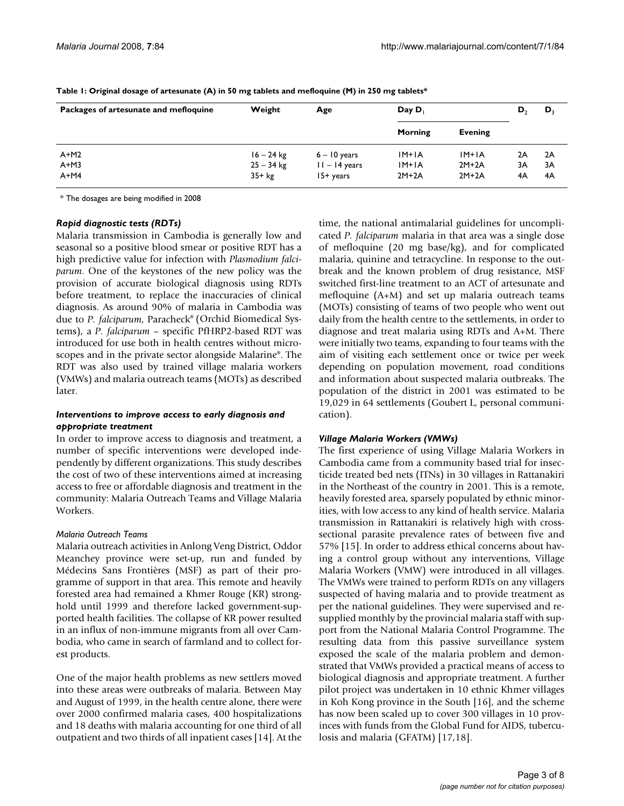| Packages of artesunate and mefloquine | Weight       | Age             | Day $D_1$ |         | D, | D, |
|---------------------------------------|--------------|-----------------|-----------|---------|----|----|
|                                       |              |                 | Morning   | Evening |    |    |
| A+M2                                  | $16 - 24$ kg | $6 - 10$ years  | $IM+IA$   | $IM+IA$ | 2Α | 2A |
| $A+M3$                                | $25 - 34$ kg | $II - I4$ years | $IM+IA$   | $2M+2A$ | 3A | 3A |
| $A+MA$                                | $35+kg$      | $15+$ years     | $2M+2A$   | $2M+2A$ | 4A | 4A |

**Table 1: Original dosage of artesunate (A) in 50 mg tablets and mefloquine (M) in 250 mg tablets\***

\* The dosages are being modified in 2008

## *Rapid diagnostic tests (RDTs)*

Malaria transmission in Cambodia is generally low and seasonal so a positive blood smear or positive RDT has a high predictive value for infection with *Plasmodium falciparum*. One of the keystones of the new policy was the provision of accurate biological diagnosis using RDTs before treatment, to replace the inaccuracies of clinical diagnosis. As around 90% of malaria in Cambodia was due to *P. falciparum*, Paracheck® (Orchid Biomedical Systems), a *P. falciparum* – specific PfHRP2-based RDT was introduced for use both in health centres without microscopes and in the private sector alongside Malarine®. The RDT was also used by trained village malaria workers (VMWs) and malaria outreach teams (MOTs) as described later.

# *Interventions to improve access to early diagnosis and appropriate treatment*

In order to improve access to diagnosis and treatment, a number of specific interventions were developed independently by different organizations. This study describes the cost of two of these interventions aimed at increasing access to free or affordable diagnosis and treatment in the community: Malaria Outreach Teams and Village Malaria Workers.

# *Malaria Outreach Teams*

Malaria outreach activities in Anlong Veng District, Oddor Meanchey province were set-up, run and funded by Médecins Sans Frontières (MSF) as part of their programme of support in that area. This remote and heavily forested area had remained a Khmer Rouge (KR) stronghold until 1999 and therefore lacked government-supported health facilities. The collapse of KR power resulted in an influx of non-immune migrants from all over Cambodia, who came in search of farmland and to collect forest products.

One of the major health problems as new settlers moved into these areas were outbreaks of malaria. Between May and August of 1999, in the health centre alone, there were over 2000 confirmed malaria cases, 400 hospitalizations and 18 deaths with malaria accounting for one third of all outpatient and two thirds of all inpatient cases [14]. At the time, the national antimalarial guidelines for uncomplicated *P. falciparum* malaria in that area was a single dose of mefloquine (20 mg base/kg), and for complicated malaria, quinine and tetracycline. In response to the outbreak and the known problem of drug resistance, MSF switched first-line treatment to an ACT of artesunate and mefloquine (A+M) and set up malaria outreach teams (MOTs) consisting of teams of two people who went out daily from the health centre to the settlements, in order to diagnose and treat malaria using RDTs and A+M. There were initially two teams, expanding to four teams with the aim of visiting each settlement once or twice per week depending on population movement, road conditions and information about suspected malaria outbreaks. The population of the district in 2001 was estimated to be 19,029 in 64 settlements (Goubert L, personal communication).

# *Village Malaria Workers (VMWs)*

The first experience of using Village Malaria Workers in Cambodia came from a community based trial for insecticide treated bed nets (ITNs) in 30 villages in Rattanakiri in the Northeast of the country in 2001. This is a remote, heavily forested area, sparsely populated by ethnic minorities, with low access to any kind of health service. Malaria transmission in Rattanakiri is relatively high with crosssectional parasite prevalence rates of between five and 57% [15]. In order to address ethical concerns about having a control group without any interventions, Village Malaria Workers (VMW) were introduced in all villages. The VMWs were trained to perform RDTs on any villagers suspected of having malaria and to provide treatment as per the national guidelines. They were supervised and resupplied monthly by the provincial malaria staff with support from the National Malaria Control Programme. The resulting data from this passive surveillance system exposed the scale of the malaria problem and demonstrated that VMWs provided a practical means of access to biological diagnosis and appropriate treatment. A further pilot project was undertaken in 10 ethnic Khmer villages in Koh Kong province in the South [16], and the scheme has now been scaled up to cover 300 villages in 10 provinces with funds from the Global Fund for AIDS, tuberculosis and malaria (GFATM) [17,18].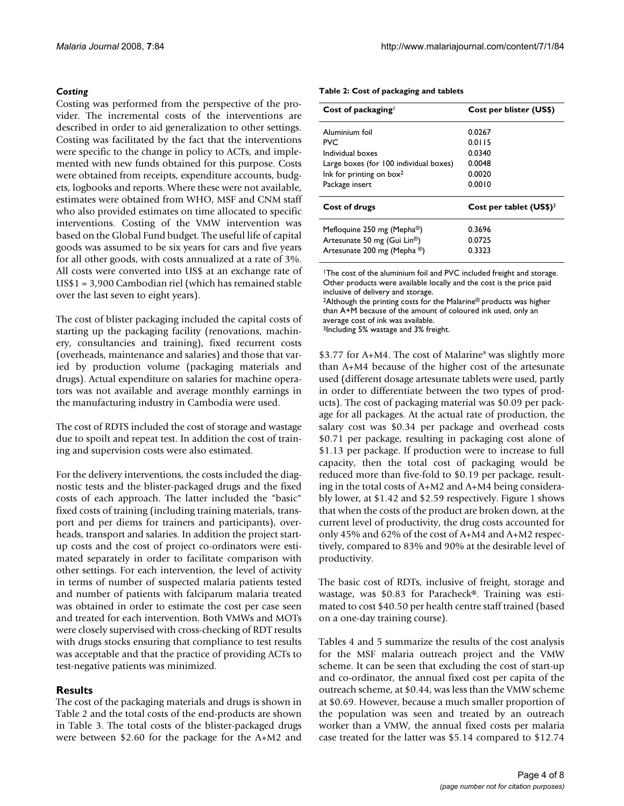# *Costing*

Costing was performed from the perspective of the provider. The incremental costs of the interventions are described in order to aid generalization to other settings. Costing was facilitated by the fact that the interventions were specific to the change in policy to ACTs, and implemented with new funds obtained for this purpose. Costs were obtained from receipts, expenditure accounts, budgets, logbooks and reports. Where these were not available, estimates were obtained from WHO, MSF and CNM staff who also provided estimates on time allocated to specific interventions. Costing of the VMW intervention was based on the Global Fund budget. The useful life of capital goods was assumed to be six years for cars and five years for all other goods, with costs annualized at a rate of 3%. All costs were converted into US\$ at an exchange rate of US\$1 = 3,900 Cambodian riel (which has remained stable over the last seven to eight years).

The cost of blister packaging included the capital costs of starting up the packaging facility (renovations, machinery, consultancies and training), fixed recurrent costs (overheads, maintenance and salaries) and those that varied by production volume (packaging materials and drugs). Actual expenditure on salaries for machine operators was not available and average monthly earnings in the manufacturing industry in Cambodia were used.

The cost of RDTS included the cost of storage and wastage due to spoilt and repeat test. In addition the cost of training and supervision costs were also estimated.

For the delivery interventions, the costs included the diagnostic tests and the blister-packaged drugs and the fixed costs of each approach. The latter included the "basic" fixed costs of training (including training materials, transport and per diems for trainers and participants), overheads, transport and salaries. In addition the project startup costs and the cost of project co-ordinators were estimated separately in order to facilitate comparison with other settings. For each intervention, the level of activity in terms of number of suspected malaria patients tested and number of patients with falciparum malaria treated was obtained in order to estimate the cost per case seen and treated for each intervention. Both VMWs and MOTs were closely supervised with cross-checking of RDT results with drugs stocks ensuring that compliance to test results was acceptable and that the practice of providing ACTs to test-negative patients was minimized.

# **Results**

The cost of the packaging materials and drugs is shown in Table 2 and the total costs of the end-products are shown in Table 3. The total costs of the blister-packaged drugs were between \$2.60 for the package for the A+M2 and

| Cost of packaging                        | Cost per blister (US\$)   |  |  |
|------------------------------------------|---------------------------|--|--|
| Aluminium foil                           | 0.0267                    |  |  |
| <b>PVC</b>                               | 0.0115                    |  |  |
| Individual boxes                         | 0.0340                    |  |  |
| Large boxes (for 100 individual boxes)   | 0.0048                    |  |  |
| Ink for printing on box <sup>2</sup>     | 0.0020                    |  |  |
| Package insert                           | 0.0010                    |  |  |
| Cost of drugs                            | Cost per tablet $(US$)^3$ |  |  |
| Mefloquine 250 mg (Mepha <sup>®</sup> )  | 0.3696                    |  |  |
| Artesunate 50 mg (Gui Lin <sup>®</sup> ) | 0.0725                    |  |  |
| Artesunate 200 mg (Mepha ®)              | 0.3323                    |  |  |

**Table 2: Cost of packaging and tablets**

1The cost of the aluminium foil and PVC included freight and storage. Other products were available locally and the cost is the price paid inclusive of delivery and storage.

2Although the printing costs for the Malarine® products was higher than A+M because of the amount of coloured ink used, only an average cost of ink was available.

3Including 5% wastage and 3% freight.

\$3.77 for A+M4. The cost of Malarine® was slightly more than A+M4 because of the higher cost of the artesunate used (different dosage artesunate tablets were used, partly in order to differentiate between the two types of products). The cost of packaging material was \$0.09 per package for all packages. At the actual rate of production, the salary cost was \$0.34 per package and overhead costs \$0.71 per package, resulting in packaging cost alone of \$1.13 per package. If production were to increase to full capacity, then the total cost of packaging would be reduced more than five-fold to \$0.19 per package, resulting in the total costs of A+M2 and A+M4 being considerably lower, at \$1.42 and \$2.59 respectively. Figure 1 shows that when the costs of the product are broken down, at the current level of productivity, the drug costs accounted for only 45% and 62% of the cost of A+M4 and A+M2 respectively, compared to 83% and 90% at the desirable level of productivity.

The basic cost of RDTs, inclusive of freight, storage and wastage, was \$0.83 for Paracheck®. Training was estimated to cost \$40.50 per health centre staff trained (based on a one-day training course).

Tables 4 and 5 summarize the results of the cost analysis for the MSF malaria outreach project and the VMW scheme. It can be seen that excluding the cost of start-up and co-ordinator, the annual fixed cost per capita of the outreach scheme, at \$0.44, was less than the VMW scheme at \$0.69. However, because a much smaller proportion of the population was seen and treated by an outreach worker than a VMW, the annual fixed costs per malaria case treated for the latter was \$5.14 compared to \$12.74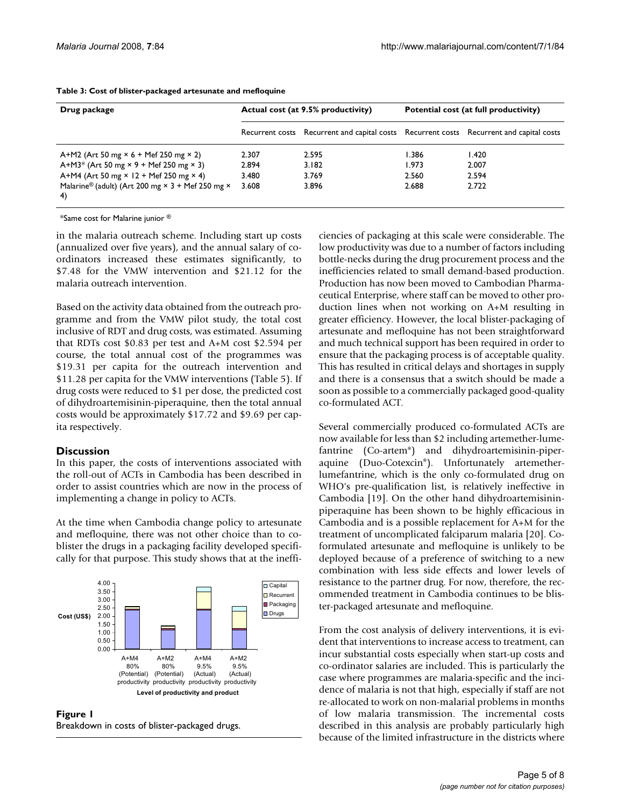| Drug package                                                         | Actual cost (at 9.5% productivity) |                                                                                         | Potential cost (at full productivity) |       |
|----------------------------------------------------------------------|------------------------------------|-----------------------------------------------------------------------------------------|---------------------------------------|-------|
|                                                                      |                                    | Recurrent costs Recurrent and capital costs Recurrent costs Recurrent and capital costs |                                       |       |
| A+M2 (Art 50 mg $\times$ 6 + Mef 250 mg $\times$ 2)                  | 2.307                              | 2.595                                                                                   | 1.386                                 | l.420 |
| A+M3* (Art 50 mg $\times$ 9 + Mef 250 mg $\times$ 3)                 | 2.894                              | 3.182                                                                                   | 1.973                                 | 2.007 |
| A+M4 (Art 50 mg $\times$ 12 + Mef 250 mg $\times$ 4)                 | 3.480                              | 3.769                                                                                   | 2.560                                 | 2.594 |
| Malarine® (adult) (Art 200 mg $\times$ 3 + Mef 250 mg $\times$<br>4) | 3.608                              | 3.896                                                                                   | 2.688                                 | 2.722 |

#### **Table 3: Cost of blister-packaged artesunate and mefloquine**

\*Same cost for Malarine junior ®

in the malaria outreach scheme. Including start up costs (annualized over five years), and the annual salary of coordinators increased these estimates significantly, to \$7.48 for the VMW intervention and \$21.12 for the malaria outreach intervention.

Based on the activity data obtained from the outreach programme and from the VMW pilot study, the total cost inclusive of RDT and drug costs, was estimated. Assuming that RDTs cost \$0.83 per test and A+M cost \$2.594 per course, the total annual cost of the programmes was \$19.31 per capita for the outreach intervention and \$11.28 per capita for the VMW interventions (Table 5). If drug costs were reduced to \$1 per dose, the predicted cost of dihydroartemisinin-piperaquine, then the total annual costs would be approximately \$17.72 and \$9.69 per capita respectively.

## **Discussion**

In this paper, the costs of interventions associated with the roll-out of ACTs in Cambodia has been described in order to assist countries which are now in the process of implementing a change in policy to ACTs.

At the time when Cambodia change policy to artesunate and mefloquine, there was not other choice than to coblister the drugs in a packaging facility developed specifically for that purpose. This study shows that at the ineffi-





ciencies of packaging at this scale were considerable. The low productivity was due to a number of factors including bottle-necks during the drug procurement process and the inefficiencies related to small demand-based production. Production has now been moved to Cambodian Pharmaceutical Enterprise, where staff can be moved to other production lines when not working on A+M resulting in greater efficiency. However, the local blister-packaging of artesunate and mefloquine has not been straightforward and much technical support has been required in order to ensure that the packaging process is of acceptable quality. This has resulted in critical delays and shortages in supply and there is a consensus that a switch should be made a soon as possible to a commercially packaged good-quality co-formulated ACT.

Several commercially produced co-formulated ACTs are now available for less than \$2 including artemether-lumefantrine (Co-artem®) and dihydroartemisinin-piperaquine (Duo-Cotexcin®). Unfortunately artemetherlumefantrine, which is the only co-formulated drug on WHO's pre-qualification list, is relatively ineffective in Cambodia [19]. On the other hand dihydroartemisininpiperaquine has been shown to be highly efficacious in Cambodia and is a possible replacement for A+M for the treatment of uncomplicated falciparum malaria [20]. Coformulated artesunate and mefloquine is unlikely to be deployed because of a preference of switching to a new combination with less side effects and lower levels of resistance to the partner drug. For now, therefore, the recommended treatment in Cambodia continues to be blister-packaged artesunate and mefloquine.

From the cost analysis of delivery interventions, it is evident that interventions to increase access to treatment, can incur substantial costs especially when start-up costs and co-ordinator salaries are included. This is particularly the case where programmes are malaria-specific and the incidence of malaria is not that high, especially if staff are not re-allocated to work on non-malarial problems in months of low malaria transmission. The incremental costs described in this analysis are probably particularly high because of the limited infrastructure in the districts where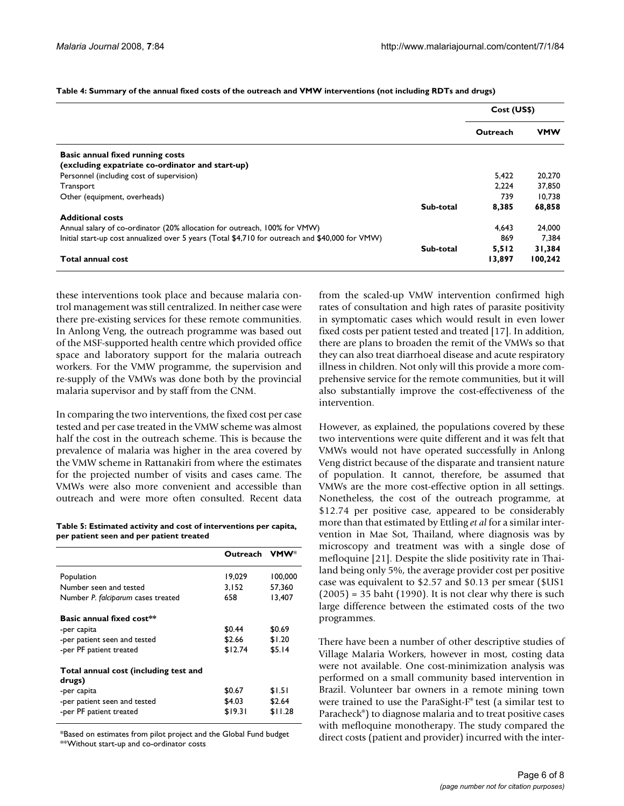|                                                                                                 |           | Cost (US\$) |            |
|-------------------------------------------------------------------------------------------------|-----------|-------------|------------|
|                                                                                                 |           | Outreach    | <b>VMW</b> |
| <b>Basic annual fixed running costs</b>                                                         |           |             |            |
| (excluding expatriate co-ordinator and start-up)                                                |           |             |            |
| Personnel (including cost of supervision)                                                       |           | 5.422       | 20,270     |
| Transport                                                                                       |           | 2.224       | 37,850     |
| Other (equipment, overheads)                                                                    |           | 739         | 10.738     |
|                                                                                                 | Sub-total | 8,385       | 68,858     |
| <b>Additional costs</b>                                                                         |           |             |            |
| Annual salary of co-ordinator (20% allocation for outreach, 100% for VMW)                       |           | 4.643       | 24,000     |
| Initial start-up cost annualized over 5 years (Total \$4,710 for outreach and \$40,000 for VMW) |           | 869         | 7.384      |
|                                                                                                 | Sub-total | 5,512       | 31,384     |
| <b>Total annual cost</b>                                                                        |           | 13,897      | 100,242    |

**Table 4: Summary of the annual fixed costs of the outreach and VMW interventions (not including RDTs and drugs)**

these interventions took place and because malaria control management was still centralized. In neither case were there pre-existing services for these remote communities. In Anlong Veng, the outreach programme was based out of the MSF-supported health centre which provided office space and laboratory support for the malaria outreach workers. For the VMW programme, the supervision and re-supply of the VMWs was done both by the provincial malaria supervisor and by staff from the CNM.

In comparing the two interventions, the fixed cost per case tested and per case treated in the VMW scheme was almost half the cost in the outreach scheme. This is because the prevalence of malaria was higher in the area covered by the VMW scheme in Rattanakiri from where the estimates for the projected number of visits and cases came. The VMWs were also more convenient and accessible than outreach and were more often consulted. Recent data

**Table 5: Estimated activity and cost of interventions per capita, per patient seen and per patient treated**

|                                                                                                                           | Outreach                    | VMW*                        |
|---------------------------------------------------------------------------------------------------------------------------|-----------------------------|-----------------------------|
| Population<br>Number seen and tested<br>Number P. falciparum cases treated                                                | 19,029<br>3.152<br>658      | 100,000<br>57,360<br>13.407 |
| Basic annual fixed cost**<br>-per capita<br>-per patient seen and tested<br>-per PF patient treated                       | \$0.44<br>\$2.66<br>\$12.74 | \$0.69<br>\$1.20<br>\$5.14  |
| Total annual cost (including test and<br>drugs)<br>-per capita<br>-per patient seen and tested<br>-per PF patient treated | \$0.67<br>\$4.03<br>\$19.31 | \$1.51<br>\$2.64<br>\$11.28 |

\*Based on estimates from pilot project and the Global Fund budget \*\*Without start-up and co-ordinator costs

from the scaled-up VMW intervention confirmed high rates of consultation and high rates of parasite positivity in symptomatic cases which would result in even lower fixed costs per patient tested and treated [17]. In addition, there are plans to broaden the remit of the VMWs so that they can also treat diarrhoeal disease and acute respiratory illness in children. Not only will this provide a more comprehensive service for the remote communities, but it will also substantially improve the cost-effectiveness of the intervention.

However, as explained, the populations covered by these two interventions were quite different and it was felt that VMWs would not have operated successfully in Anlong Veng district because of the disparate and transient nature of population. It cannot, therefore, be assumed that VMWs are the more cost-effective option in all settings. Nonetheless, the cost of the outreach programme, at \$12.74 per positive case, appeared to be considerably more than that estimated by Ettling *et al* for a similar intervention in Mae Sot, Thailand, where diagnosis was by microscopy and treatment was with a single dose of mefloquine [21]. Despite the slide positivity rate in Thailand being only 5%, the average provider cost per positive case was equivalent to \$2.57 and \$0.13 per smear (\$US1  $(2005) = 35$  baht  $(1990)$ . It is not clear why there is such large difference between the estimated costs of the two programmes.

There have been a number of other descriptive studies of Village Malaria Workers, however in most, costing data were not available. One cost-minimization analysis was performed on a small community based intervention in Brazil. Volunteer bar owners in a remote mining town were trained to use the ParaSight-F® test (a similar test to Paracheck®) to diagnose malaria and to treat positive cases with mefloquine monotherapy. The study compared the direct costs (patient and provider) incurred with the inter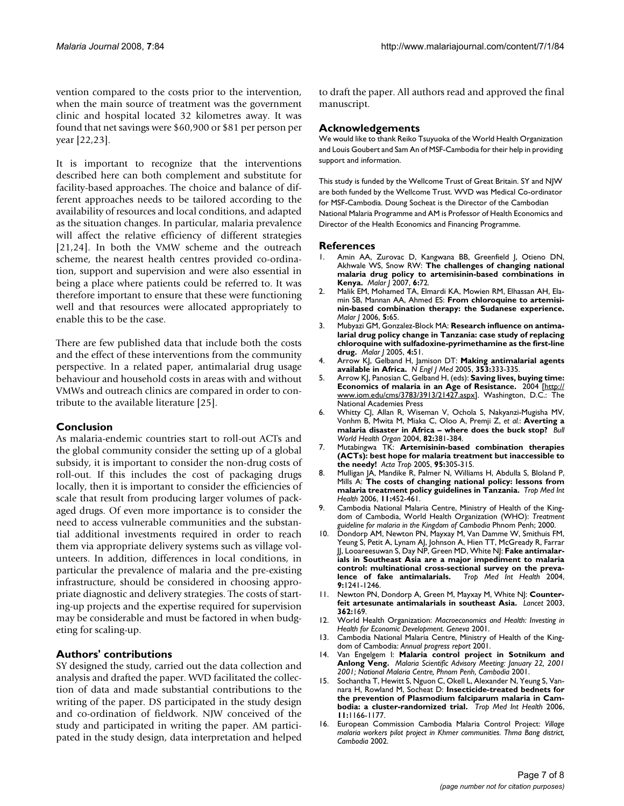vention compared to the costs prior to the intervention, when the main source of treatment was the government clinic and hospital located 32 kilometres away. It was found that net savings were \$60,900 or \$81 per person per year [22,23].

It is important to recognize that the interventions described here can both complement and substitute for facility-based approaches. The choice and balance of different approaches needs to be tailored according to the availability of resources and local conditions, and adapted as the situation changes. In particular, malaria prevalence will affect the relative efficiency of different strategies [21,24]. In both the VMW scheme and the outreach scheme, the nearest health centres provided co-ordination, support and supervision and were also essential in being a place where patients could be referred to. It was therefore important to ensure that these were functioning well and that resources were allocated appropriately to enable this to be the case.

There are few published data that include both the costs and the effect of these interventions from the community perspective. In a related paper, antimalarial drug usage behaviour and household costs in areas with and without VMWs and outreach clinics are compared in order to contribute to the available literature [25].

## **Conclusion**

As malaria-endemic countries start to roll-out ACTs and the global community consider the setting up of a global subsidy, it is important to consider the non-drug costs of roll-out. If this includes the cost of packaging drugs locally, then it is important to consider the efficiencies of scale that result from producing larger volumes of packaged drugs. Of even more importance is to consider the need to access vulnerable communities and the substantial additional investments required in order to reach them via appropriate delivery systems such as village volunteers. In addition, differences in local conditions, in particular the prevalence of malaria and the pre-existing infrastructure, should be considered in choosing appropriate diagnostic and delivery strategies. The costs of starting-up projects and the expertise required for supervision may be considerable and must be factored in when budgeting for scaling-up.

## **Authors' contributions**

SY designed the study, carried out the data collection and analysis and drafted the paper. WVD facilitated the collection of data and made substantial contributions to the writing of the paper. DS participated in the study design and co-ordination of fieldwork. NJW conceived of the study and participated in writing the paper. AM participated in the study design, data interpretation and helped to draft the paper. All authors read and approved the final manuscript.

## **Acknowledgements**

We would like to thank Reiko Tsuyuoka of the World Health Organization and Louis Goubert and Sam An of MSF-Cambodia for their help in providing support and information.

This study is funded by the Wellcome Trust of Great Britain. SY and NJW are both funded by the Wellcome Trust. WVD was Medical Co-ordinator for MSF-Cambodia. Doung Socheat is the Director of the Cambodian National Malaria Programme and AM is Professor of Health Economics and Director of the Health Economics and Financing Programme.

#### **References**

- 1. Amin AA, Zurovac D, Kangwana BB, Greenfield J, Otieno DN, Akhwale WS, Snow RW: **[The challenges of changing national](http://www.ncbi.nlm.nih.gov/entrez/query.fcgi?cmd=Retrieve&db=PubMed&dopt=Abstract&list_uids=17535417) [malaria drug policy to artemisinin-based combinations in](http://www.ncbi.nlm.nih.gov/entrez/query.fcgi?cmd=Retrieve&db=PubMed&dopt=Abstract&list_uids=17535417) [Kenya.](http://www.ncbi.nlm.nih.gov/entrez/query.fcgi?cmd=Retrieve&db=PubMed&dopt=Abstract&list_uids=17535417)** *Malar J* 2007, **6:**72.
- 2. Malik EM, Mohamed TA, Elmardi KA, Mowien RM, Elhassan AH, Elamin SB, Mannan AA, Ahmed ES: **[From chloroquine to artemisi](http://www.ncbi.nlm.nih.gov/entrez/query.fcgi?cmd=Retrieve&db=PubMed&dopt=Abstract&list_uids=16879742)[nin-based combination therapy: the Sudanese experience.](http://www.ncbi.nlm.nih.gov/entrez/query.fcgi?cmd=Retrieve&db=PubMed&dopt=Abstract&list_uids=16879742)** *Malar J* 2006, **5:**65.
- 3. Mubyazi GM, Gonzalez-Block MA: **[Research influence on antima](http://www.ncbi.nlm.nih.gov/entrez/query.fcgi?cmd=Retrieve&db=PubMed&dopt=Abstract&list_uids=16242017)[larial drug policy change in Tanzania: case study of replacing](http://www.ncbi.nlm.nih.gov/entrez/query.fcgi?cmd=Retrieve&db=PubMed&dopt=Abstract&list_uids=16242017) chloroquine with sulfadoxine-pyrimethamine as the first-line [drug.](http://www.ncbi.nlm.nih.gov/entrez/query.fcgi?cmd=Retrieve&db=PubMed&dopt=Abstract&list_uids=16242017)** *Malar J* 2005, **4:**51.
- 4. Arrow KJ, Gelband H, Jamison DT: **[Making antimalarial agents](http://www.ncbi.nlm.nih.gov/entrez/query.fcgi?cmd=Retrieve&db=PubMed&dopt=Abstract&list_uids=16000348) [available in Africa.](http://www.ncbi.nlm.nih.gov/entrez/query.fcgi?cmd=Retrieve&db=PubMed&dopt=Abstract&list_uids=16000348)** *N Engl J Med* 2005, **353:**333-335.
- 5. Arrow KJ, Panosian C, Gelband H, (eds): **[Saving lives, buying time:](http://www.ncbi.nlm.nih.gov/entrez/query.fcgi?cmd=Retrieve&db=PubMed&dopt=Abstract&list_uids=15042238) [Economics of malaria in an Age of Resistance.](http://www.ncbi.nlm.nih.gov/entrez/query.fcgi?cmd=Retrieve&db=PubMed&dopt=Abstract&list_uids=15042238)** 2004 [\[http://](http://www.iom.edu/cms/3783/3913/21427.aspx) [www.iom.edu/cms/3783/3913/21427.aspx](http://www.iom.edu/cms/3783/3913/21427.aspx)]. Washington, D.C.: The National Academies Press
- 6. Whitty CJ, Allan R, Wiseman V, Ochola S, Nakyanzi-Mugisha MV, Vonhm B, Mwita M, Miaka C, Oloo A, Premji Z, *et al.*: **[Averting a](http://www.ncbi.nlm.nih.gov/entrez/query.fcgi?cmd=Retrieve&db=PubMed&dopt=Abstract&list_uids=15298229) [malaria disaster in Africa – where does the buck stop?](http://www.ncbi.nlm.nih.gov/entrez/query.fcgi?cmd=Retrieve&db=PubMed&dopt=Abstract&list_uids=15298229)** *Bull World Health Organ* 2004, **82:**381-384.
- 7. Mutabingwa TK: **[Artemisinin-based combination therapies](http://www.ncbi.nlm.nih.gov/entrez/query.fcgi?cmd=Retrieve&db=PubMed&dopt=Abstract&list_uids=16098946) [\(ACTs\): best hope for malaria treatment but inaccessible to](http://www.ncbi.nlm.nih.gov/entrez/query.fcgi?cmd=Retrieve&db=PubMed&dopt=Abstract&list_uids=16098946) [the needy!](http://www.ncbi.nlm.nih.gov/entrez/query.fcgi?cmd=Retrieve&db=PubMed&dopt=Abstract&list_uids=16098946)** *Acta Trop* 2005, **95:**305-315.
- 8. Mulligan JA, Mandike R, Palmer N, Williams H, Abdulla S, Bloland P, Mills A: **[The costs of changing national policy: lessons from](http://www.ncbi.nlm.nih.gov/entrez/query.fcgi?cmd=Retrieve&db=PubMed&dopt=Abstract&list_uids=16553928) [malaria treatment policy guidelines in Tanzania.](http://www.ncbi.nlm.nih.gov/entrez/query.fcgi?cmd=Retrieve&db=PubMed&dopt=Abstract&list_uids=16553928)** *Trop Med Int Health* 2006, **11:**452-461.
- 9. Cambodia National Malaria Centre, Ministry of Health of the Kingdom of Cambodia, World Health Organization (WHO): *Treatment guideline for malaria in the Kingdom of Cambodia* Phnom Penh; 2000.
- Dondorp AM, Newton PN, Mayxay M, Van Damme W, Smithuis FM, Yeung S, Petit A, Lynam AJ, Johnson A, Hien TT, McGready R, Farrar JJ, Looareesuwan S, Day NP, Green MD, White NJ: **[Fake antimalar](http://www.ncbi.nlm.nih.gov/entrez/query.fcgi?cmd=Retrieve&db=PubMed&dopt=Abstract&list_uids=15598255)[ials in Southeast Asia are a major impediment to malaria](http://www.ncbi.nlm.nih.gov/entrez/query.fcgi?cmd=Retrieve&db=PubMed&dopt=Abstract&list_uids=15598255) control: multinational cross-sectional survey on the preva[lence of fake antimalarials.](http://www.ncbi.nlm.nih.gov/entrez/query.fcgi?cmd=Retrieve&db=PubMed&dopt=Abstract&list_uids=15598255) 9:**1241-1246.
- 11. Newton PN, Dondorp A, Green M, Mayxay M, White NJ: **[Counter](http://www.ncbi.nlm.nih.gov/entrez/query.fcgi?cmd=Retrieve&db=PubMed&dopt=Abstract&list_uids=12867121)[feit artesunate antimalarials in southeast Asia.](http://www.ncbi.nlm.nih.gov/entrez/query.fcgi?cmd=Retrieve&db=PubMed&dopt=Abstract&list_uids=12867121)** *Lancet* 2003, **362:**169.
- 12. World Health Organization: *Macroeconomics and Health: Investing in Health for Economic Development. Geneva* 2001.
- 13. Cambodia National Malaria Centre, Ministry of Health of the Kingdom of Cambodia: *Annual progress report* 2001.
- 14. Van Engelgem I: **Malaria control project in Sotnikum and Anlong Veng.** *Malaria Scientific Advisory Meeting: January 22, 2001 2001; National Malaria Centre, Phnom Penh, Cambodia* 2001.
- 15. Sochantha T, Hewitt S, Nguon C, Okell L, Alexander N, Yeung S, Vannara H, Rowland M, Socheat D: **[Insecticide-treated bednets for](http://www.ncbi.nlm.nih.gov/entrez/query.fcgi?cmd=Retrieve&db=PubMed&dopt=Abstract&list_uids=16903880) [the prevention of Plasmodium falciparum malaria in Cam](http://www.ncbi.nlm.nih.gov/entrez/query.fcgi?cmd=Retrieve&db=PubMed&dopt=Abstract&list_uids=16903880)[bodia: a cluster-randomized trial.](http://www.ncbi.nlm.nih.gov/entrez/query.fcgi?cmd=Retrieve&db=PubMed&dopt=Abstract&list_uids=16903880)** *Trop Med Int Health* 2006, **11:**1166-1177.
- 16. European Commission Cambodia Malaria Control Project: *Village malaria workers pilot project in Khmer communities. Thma Bang district, Cambodia* 2002.